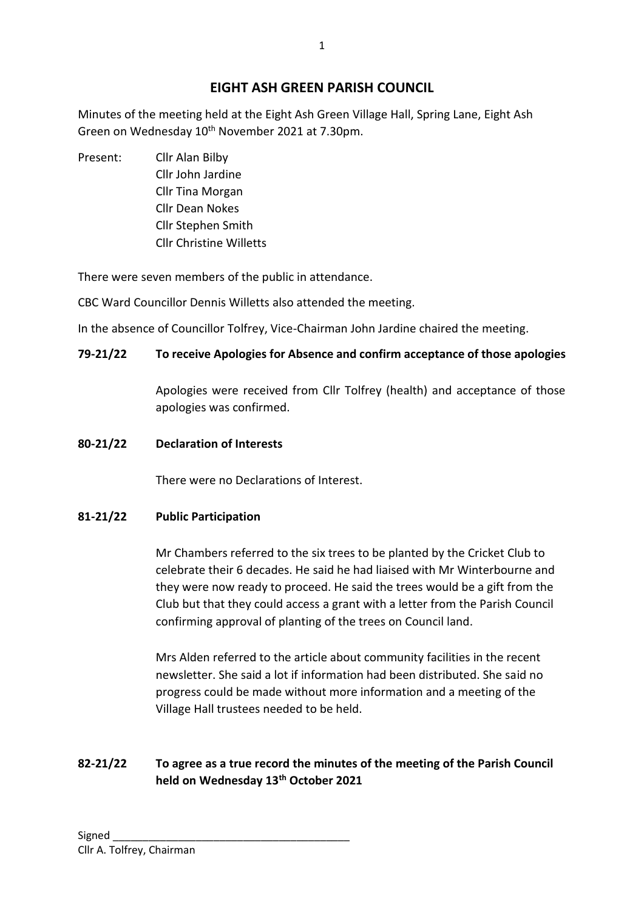# **EIGHT ASH GREEN PARISH COUNCIL**

Minutes of the meeting held at the Eight Ash Green Village Hall, Spring Lane, Eight Ash Green on Wednesday 10<sup>th</sup> November 2021 at 7.30pm.

Present: Cllr Alan Bilby Cllr John Jardine Cllr Tina Morgan Cllr Dean Nokes Cllr Stephen Smith Cllr Christine Willetts

There were seven members of the public in attendance.

CBC Ward Councillor Dennis Willetts also attended the meeting.

In the absence of Councillor Tolfrey, Vice-Chairman John Jardine chaired the meeting.

## **79-21/22 To receive Apologies for Absence and confirm acceptance of those apologies**

Apologies were received from Cllr Tolfrey (health) and acceptance of those apologies was confirmed.

## **80-21/22 Declaration of Interests**

There were no Declarations of Interest.

## **81-21/22 Public Participation**

Mr Chambers referred to the six trees to be planted by the Cricket Club to celebrate their 6 decades. He said he had liaised with Mr Winterbourne and they were now ready to proceed. He said the trees would be a gift from the Club but that they could access a grant with a letter from the Parish Council confirming approval of planting of the trees on Council land.

Mrs Alden referred to the article about community facilities in the recent newsletter. She said a lot if information had been distributed. She said no progress could be made without more information and a meeting of the Village Hall trustees needed to be held.

# **82-21/22 To agree as a true record the minutes of the meeting of the Parish Council held on Wednesday 13th October 2021**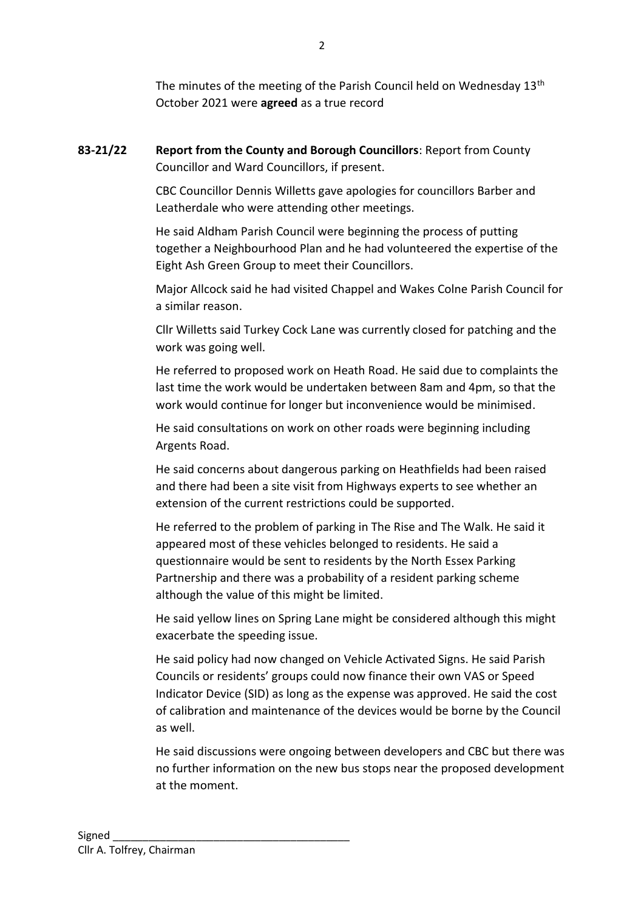The minutes of the meeting of the Parish Council held on Wednesday 13<sup>th</sup> October 2021 were **agreed** as a true record

**83-21/22 Report from the County and Borough Councillors**: Report from County Councillor and Ward Councillors, if present.

> CBC Councillor Dennis Willetts gave apologies for councillors Barber and Leatherdale who were attending other meetings.

He said Aldham Parish Council were beginning the process of putting together a Neighbourhood Plan and he had volunteered the expertise of the Eight Ash Green Group to meet their Councillors.

Major Allcock said he had visited Chappel and Wakes Colne Parish Council for a similar reason.

Cllr Willetts said Turkey Cock Lane was currently closed for patching and the work was going well.

He referred to proposed work on Heath Road. He said due to complaints the last time the work would be undertaken between 8am and 4pm, so that the work would continue for longer but inconvenience would be minimised.

He said consultations on work on other roads were beginning including Argents Road.

He said concerns about dangerous parking on Heathfields had been raised and there had been a site visit from Highways experts to see whether an extension of the current restrictions could be supported.

He referred to the problem of parking in The Rise and The Walk. He said it appeared most of these vehicles belonged to residents. He said a questionnaire would be sent to residents by the North Essex Parking Partnership and there was a probability of a resident parking scheme although the value of this might be limited.

He said yellow lines on Spring Lane might be considered although this might exacerbate the speeding issue.

He said policy had now changed on Vehicle Activated Signs. He said Parish Councils or residents' groups could now finance their own VAS or Speed Indicator Device (SID) as long as the expense was approved. He said the cost of calibration and maintenance of the devices would be borne by the Council as well.

He said discussions were ongoing between developers and CBC but there was no further information on the new bus stops near the proposed development at the moment.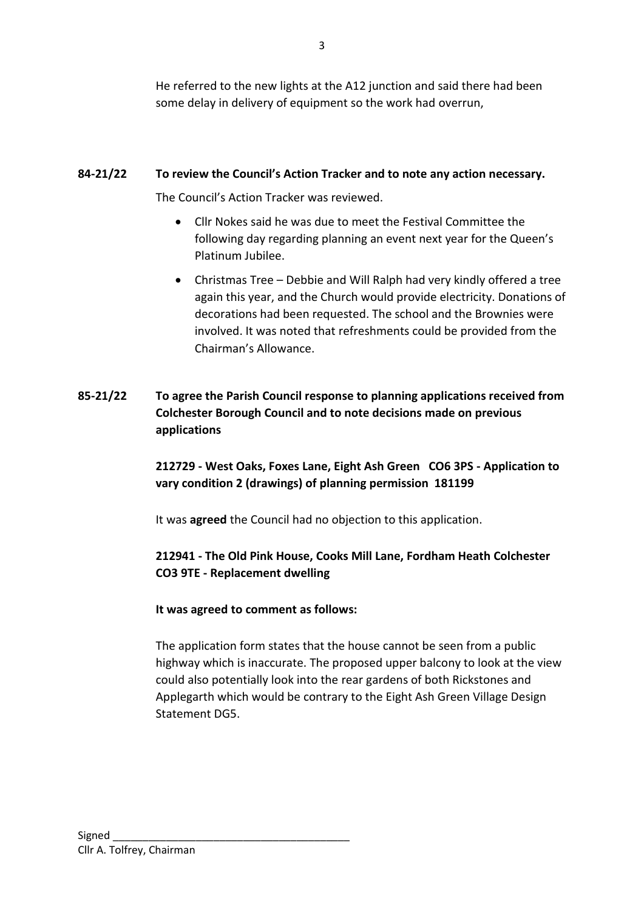He referred to the new lights at the A12 junction and said there had been some delay in delivery of equipment so the work had overrun,

### **84-21/22 To review the Council's Action Tracker and to note any action necessary.**

The Council's Action Tracker was reviewed.

- Cllr Nokes said he was due to meet the Festival Committee the following day regarding planning an event next year for the Queen's Platinum Jubilee.
- Christmas Tree Debbie and Will Ralph had very kindly offered a tree again this year, and the Church would provide electricity. Donations of decorations had been requested. The school and the Brownies were involved. It was noted that refreshments could be provided from the Chairman's Allowance.
- **85-21/22 To agree the Parish Council response to planning applications received from Colchester Borough Council and to note decisions made on previous applications**

**212729 - West Oaks, Foxes Lane, Eight Ash Green CO6 3PS - Application to vary condition 2 (drawings) of planning permission 181199**

It was **agreed** the Council had no objection to this application.

## **212941 - The Old Pink House, Cooks Mill Lane, Fordham Heath Colchester CO3 9TE - Replacement dwelling**

#### **It was agreed to comment as follows:**

The application form states that the house cannot be seen from a public highway which is inaccurate. The proposed upper balcony to look at the view could also potentially look into the rear gardens of both Rickstones and Applegarth which would be contrary to the Eight Ash Green Village Design Statement DG5.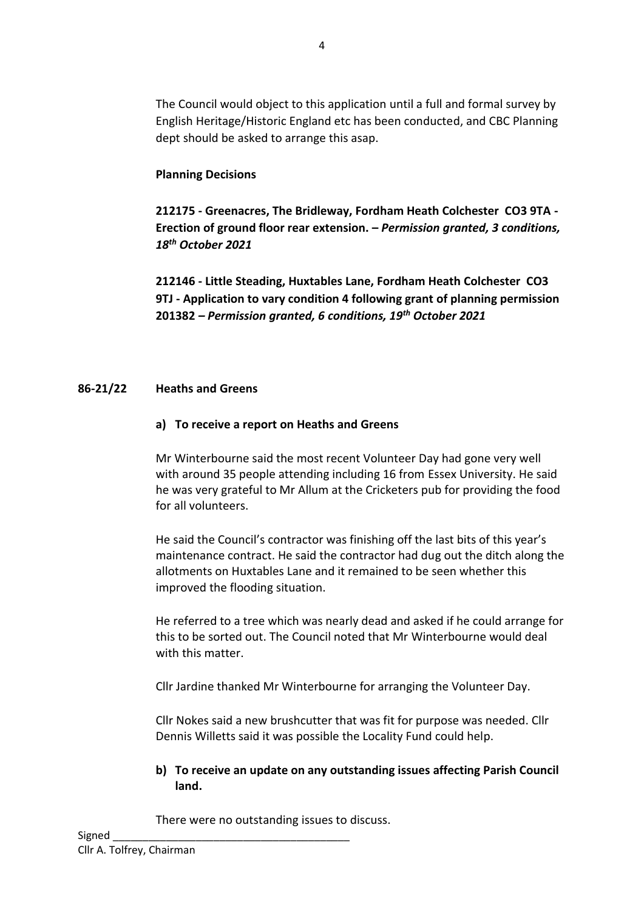### **Planning Decisions**

**212175 - Greenacres, The Bridleway, Fordham Heath Colchester CO3 9TA - Erection of ground floor rear extension. –** *Permission granted, 3 conditions, 18th October 2021*

**212146 - Little Steading, Huxtables Lane, Fordham Heath Colchester CO3 9TJ - Application to vary condition 4 following grant of planning permission 201382** *– Permission granted, 6 conditions, 19th October 2021*

#### **86-21/22 Heaths and Greens**

#### **a) To receive a report on Heaths and Greens**

Mr Winterbourne said the most recent Volunteer Day had gone very well with around 35 people attending including 16 from Essex University. He said he was very grateful to Mr Allum at the Cricketers pub for providing the food for all volunteers.

He said the Council's contractor was finishing off the last bits of this year's maintenance contract. He said the contractor had dug out the ditch along the allotments on Huxtables Lane and it remained to be seen whether this improved the flooding situation.

He referred to a tree which was nearly dead and asked if he could arrange for this to be sorted out. The Council noted that Mr Winterbourne would deal with this matter.

Cllr Jardine thanked Mr Winterbourne for arranging the Volunteer Day.

Cllr Nokes said a new brushcutter that was fit for purpose was needed. Cllr Dennis Willetts said it was possible the Locality Fund could help.

#### **b) To receive an update on any outstanding issues affecting Parish Council land.**

There were no outstanding issues to discuss.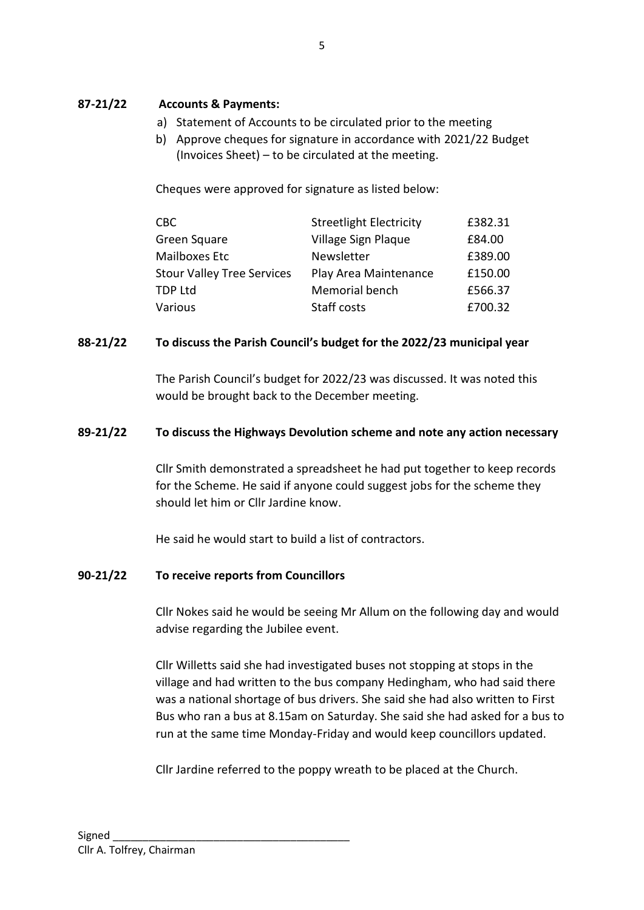### **87-21/22 Accounts & Payments:**

- a) Statement of Accounts to be circulated prior to the meeting
- b) Approve cheques for signature in accordance with 2021/22 Budget (Invoices Sheet) – to be circulated at the meeting.

Cheques were approved for signature as listed below:

| <b>CBC</b>                        | <b>Streetlight Electricity</b> | £382.31 |
|-----------------------------------|--------------------------------|---------|
| Green Square                      | Village Sign Plaque            | £84.00  |
| Mailboxes Etc                     | Newsletter                     | £389.00 |
| <b>Stour Valley Tree Services</b> | Play Area Maintenance          | £150.00 |
| <b>TDP Ltd</b>                    | Memorial bench                 | £566.37 |
| Various                           | Staff costs                    | £700.32 |

#### **88-21/22 To discuss the Parish Council's budget for the 2022/23 municipal year**

The Parish Council's budget for 2022/23 was discussed. It was noted this would be brought back to the December meeting.

#### **89-21/22 To discuss the Highways Devolution scheme and note any action necessary**

Cllr Smith demonstrated a spreadsheet he had put together to keep records for the Scheme. He said if anyone could suggest jobs for the scheme they should let him or Cllr Jardine know.

He said he would start to build a list of contractors.

#### **90-21/22 To receive reports from Councillors**

Cllr Nokes said he would be seeing Mr Allum on the following day and would advise regarding the Jubilee event.

Cllr Willetts said she had investigated buses not stopping at stops in the village and had written to the bus company Hedingham, who had said there was a national shortage of bus drivers. She said she had also written to First Bus who ran a bus at 8.15am on Saturday. She said she had asked for a bus to run at the same time Monday-Friday and would keep councillors updated.

Cllr Jardine referred to the poppy wreath to be placed at the Church.